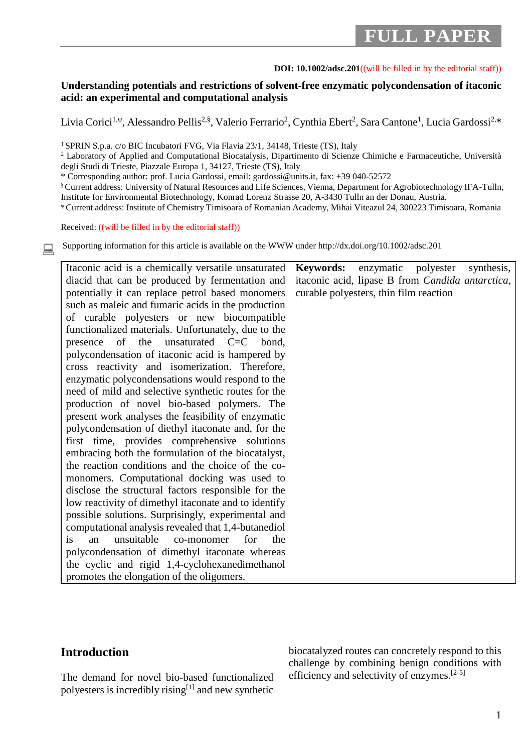# **FULL PAPER**

#### **DOI: 10.1002/adsc.201**((will be filled in by the editorial staff))

### **Understanding potentials and restrictions of solvent-free enzymatic polycondensation of itaconic acid: an experimental and computational analysis**

Livia Corici<sup>1,ψ</sup>, Alessandro Pellis<sup>2,§</sup>, Valerio Ferrario<sup>2</sup>, Cynthia Ebert<sup>2</sup>, Sara Cantone<sup>1</sup>, Lucia Gardossi<sup>2,</sup>\*

<sup>1</sup> SPRIN S.p.a. c/o BIC Incubatori FVG, Via Flavia 23/1, 34148, Trieste (TS), Italy

<sup>2</sup> Laboratory of Applied and Computational Biocatalysis, Dipartimento di Scienze Chimiche e Farmaceutiche, Università degli Studi di Trieste, Piazzale Europa 1, 34127, Trieste (TS), Italy

\* Corresponding author: prof. Lucia Gardossi, email: [gardossi@units.it,](mailto:gardossi@units.it) fax: +39 040-52572

§ Current address: University of Natural Resources and Life Sciences, Vienna, Department for Agrobiotechnology IFA-Tulln, Institute for Environmental Biotechnology, Konrad Lorenz Strasse 20, A-3430 Tulln an der Donau, Austria.

<sup>ψ</sup>Current address: Institute of Chemistry Timisoara of Romanian Academy, Mihai Viteazul 24, 300223 Timisoara, Romania

Received: ((will be filled in by the editorial staff))

Supporting information for this article is available on the WWW under http://dx.doi.org/10.1002/adsc.201

| Itaconic acid is a chemically versatile unsaturated       | Keywords: enzymatic polyester<br>synthesis,      |
|-----------------------------------------------------------|--------------------------------------------------|
| diacid that can be produced by fermentation and           | itaconic acid, lipase B from Candida antarctica, |
| potentially it can replace petrol based monomers          | curable polyesters, thin film reaction           |
| such as maleic and fumaric acids in the production        |                                                  |
| of curable polyesters or new biocompatible                |                                                  |
| functionalized materials. Unfortunately, due to the       |                                                  |
| presence of the unsaturated C=C bond,                     |                                                  |
| polycondensation of itaconic acid is hampered by          |                                                  |
| cross reactivity and isomerization. Therefore,            |                                                  |
| enzymatic polycondensations would respond to the          |                                                  |
| need of mild and selective synthetic routes for the       |                                                  |
| production of novel bio-based polymers. The               |                                                  |
| present work analyses the feasibility of enzymatic        |                                                  |
| polycondensation of diethyl itaconate and, for the        |                                                  |
| first time, provides comprehensive solutions              |                                                  |
| embracing both the formulation of the biocatalyst,        |                                                  |
| the reaction conditions and the choice of the co-         |                                                  |
| monomers. Computational docking was used to               |                                                  |
| disclose the structural factors responsible for the       |                                                  |
| low reactivity of dimethyl it aconate and to identify     |                                                  |
| possible solutions. Surprisingly, experimental and        |                                                  |
| computational analysis revealed that 1,4-butanediol       |                                                  |
| unsuitable<br>co-monomer<br>for<br>the<br><i>is</i><br>an |                                                  |
| polycondensation of dimethyl itaconate whereas            |                                                  |
| the cyclic and rigid 1,4-cyclohexanedimethanol            |                                                  |
| promotes the elongation of the oligomers.                 |                                                  |

# **Introduction**

The demand for novel bio-based functionalized polyesters is incredibly rising<sup>[1]</sup> and new synthetic biocatalyzed routes can concretely respond to this challenge by combining benign conditions with efficiency and selectivity of enzymes.<sup>[2-5]</sup>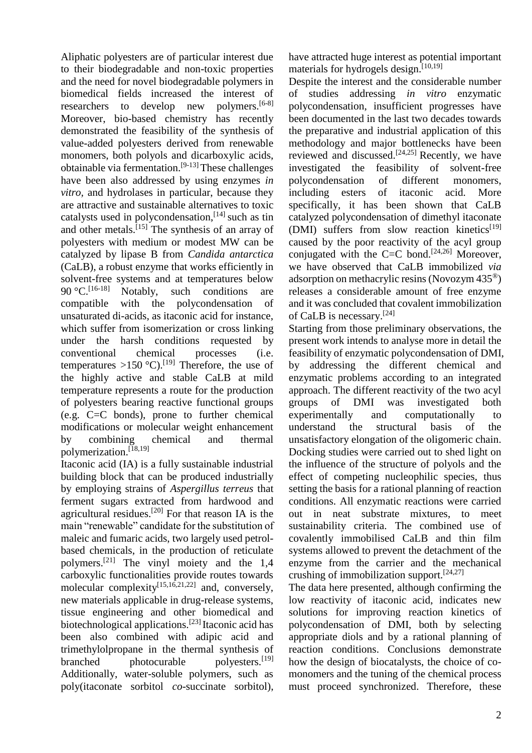Aliphatic polyesters are of particular interest due to their biodegradable and non-toxic properties and the need for novel biodegradable polymers in biomedical fields increased the interest of researchers to develop new polymers.<sup>[6-8]</sup> Moreover, bio-based chemistry has recently demonstrated the feasibility of the synthesis of value-added polyesters derived from renewable monomers, both polyols and dicarboxylic acids, obtainable via fermentation.[9-13] These challenges have been also addressed by using enzymes *in vitro,* and hydrolases in particular, because they are attractive and sustainable alternatives to toxic catalysts used in polycondensation,<sup>[14]</sup> such as tin and other metals.<sup>[15]</sup> The synthesis of an array of polyesters with medium or modest MW can be catalyzed by lipase B from *Candida antarctica* (CaLB), a robust enzyme that works efficiently in solvent-free systems and at temperatures below 90 °C.  $[16-18]$ Notably, such conditions are compatible with the polycondensation of unsaturated di-acids, as itaconic acid for instance, which suffer from isomerization or cross linking under the harsh conditions requested by conventional chemical processes (i.e. temperatures  $>150$  °C).<sup>[19]</sup> Therefore, the use of the highly active and stable CaLB at mild temperature represents a route for the production of polyesters bearing reactive functional groups (e.g. C=C bonds), prone to further chemical modifications or molecular weight enhancement by combining chemical and thermal polymerization.<sup>[18,19]</sup>

Itaconic acid (IA) is a fully sustainable industrial building block that can be produced industrially by employing strains of *Aspergillus terreus* that ferment sugars extracted from hardwood and agricultural residues.[20] For that reason IA is the main "renewable" candidate for the substitution of maleic and fumaric acids, two largely used petrolbased chemicals, in the production of reticulate polymers.[21] The vinyl moiety and the 1,4 carboxylic functionalities provide routes towards molecular complexity<sup>[15,16,21,22]</sup> and, conversely, new materials applicable in drug-release systems, tissue engineering and other biomedical and biotechnological applications.<sup>[23]</sup> Itaconic acid has been also combined with adipic acid and trimethylolpropane in the thermal synthesis of branched photocurable polyesters.<sup>[19]</sup> Additionally, water-soluble polymers, such as poly(itaconate sorbitol *co*-succinate sorbitol),

have attracted huge interest as potential important materials for hydrogels design.<sup>[10,19]</sup>

Despite the interest and the considerable number of studies addressing *in vitro* enzymatic polycondensation, insufficient progresses have been documented in the last two decades towards the preparative and industrial application of this methodology and major bottlenecks have been reviewed and discussed. $[24,25]$  Recently, we have investigated the feasibility of solvent-free polycondensation of different monomers, including esters of itaconic acid. More specifically, it has been shown that CaLB catalyzed polycondensation of dimethyl itaconate (DMI) suffers from slow reaction kinetics $^{[19]}$ caused by the poor reactivity of the acyl group conjugated with the C=C bond.<sup>[24,26]</sup> Moreover, we have observed that CaLB immobilized *via* adsorption on methacrylic resins (Novozym 435®) releases a considerable amount of free enzyme and it was concluded that covalent immobilization of CaLB is necessary.<sup>[24]</sup>

Starting from those preliminary observations, the present work intends to analyse more in detail the feasibility of enzymatic polycondensation of DMI, by addressing the different chemical and enzymatic problems according to an integrated approach. The different reactivity of the two acyl groups of DMI was investigated both experimentally and computationally to understand the structural basis of the unsatisfactory elongation of the oligomeric chain. Docking studies were carried out to shed light on the influence of the structure of polyols and the effect of competing nucleophilic species, thus setting the basis for a rational planning of reaction conditions. All enzymatic reactions were carried out in neat substrate mixtures, to meet sustainability criteria. The combined use of covalently immobilised CaLB and thin film systems allowed to prevent the detachment of the enzyme from the carrier and the mechanical crushing of immobilization support. $[24,27]$ 

The data here presented, although confirming the low reactivity of itaconic acid, indicates new solutions for improving reaction kinetics of polycondensation of DMI, both by selecting appropriate diols and by a rational planning of reaction conditions. Conclusions demonstrate how the design of biocatalysts, the choice of comonomers and the tuning of the chemical process must proceed synchronized. Therefore, these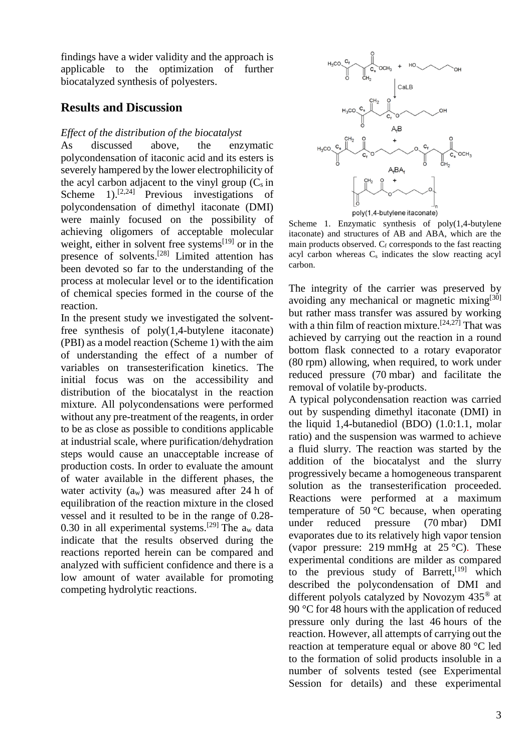findings have a wider validity and the approach is applicable to the optimization of further biocatalyzed synthesis of polyesters.

# **Results and Discussion**

### *Effect of the distribution of the biocatalyst*

As discussed above, the enzymatic polycondensation of itaconic acid and its esters is severely hampered by the lower electrophilicity of the acyl carbon adjacent to the vinyl group  $(C_s$  in Scheme  $1$ ).<sup>[2,24]</sup> Previous investigations of polycondensation of dimethyl itaconate (DMI) were mainly focused on the possibility of achieving oligomers of acceptable molecular weight, either in solvent free systems<sup>[19]</sup> or in the presence of solvents.<sup>[28]</sup> Limited attention has been devoted so far to the understanding of the process at molecular level or to the identification of chemical species formed in the course of the reaction.

In the present study we investigated the solventfree synthesis of poly(1,4-butylene itaconate) (PBI) as a model reaction (Scheme 1) with the aim of understanding the effect of a number of variables on transesterification kinetics. The initial focus was on the accessibility and distribution of the biocatalyst in the reaction mixture. All polycondensations were performed without any pre-treatment of the reagents, in order to be as close as possible to conditions applicable at industrial scale, where purification/dehydration steps would cause an unacceptable increase of production costs. In order to evaluate the amount of water available in the different phases, the water activity  $(a_w)$  was measured after 24 h of equilibration of the reaction mixture in the closed vessel and it resulted to be in the range of 0.28- 0.30 in all experimental systems.<sup>[29]</sup> The  $a_w$  data indicate that the results observed during the reactions reported herein can be compared and analyzed with sufficient confidence and there is a low amount of water available for promoting competing hydrolytic reactions.



poly(1,4-butylene itaconate)

Scheme 1. Enzymatic synthesis of poly(1,4-butylene itaconate) and structures of AB and ABA, which are the main products observed. Cf corresponds to the fast reacting acyl carbon whereas  $C_s$  indicates the slow reacting acyl carbon.

The integrity of the carrier was preserved by avoiding any mechanical or magnetic mixing $[30]$ but rather mass transfer was assured by working with a thin film of reaction mixture.<sup>[24,27]</sup> That was achieved by carrying out the reaction in a round bottom flask connected to a rotary evaporator (80 rpm) allowing, when required, to work under reduced pressure (70 mbar) and facilitate the removal of volatile by-products.

A typical polycondensation reaction was carried out by suspending dimethyl itaconate (DMI) in the liquid 1,4-butanediol (BDO) (1.0:1.1, molar ratio) and the suspension was warmed to achieve a fluid slurry. The reaction was started by the addition of the biocatalyst and the slurry progressively became a homogeneous transparent solution as the transesterification proceeded. Reactions were performed at a maximum temperature of  $50^{\circ}$ C because, when operating under reduced pressure (70 mbar) DMI evaporates due to its relatively high vapor tension (vapor pressure: 219 mmHg at  $25^{\circ}$ C). These experimental conditions are milder as compared to the previous study of Barrett,<sup>[19]</sup> which described the polycondensation of DMI and different polyols catalyzed by Novozym 435® at 90 °C for 48 hours with the application of reduced pressure only during the last 46 hours of the reaction. However, all attempts of carrying out the reaction at temperature equal or above 80 °C led to the formation of solid products insoluble in a number of solvents tested (see Experimental Session for details) and these experimental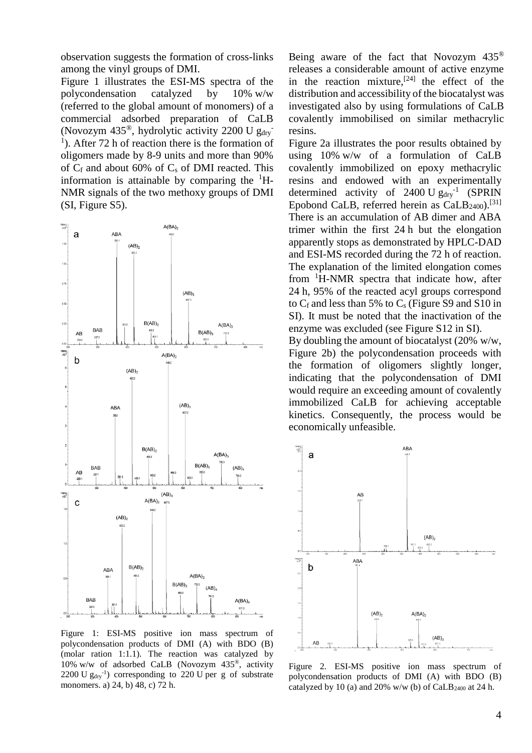observation suggests the formation of cross-links among the vinyl groups of DMI.

Figure 1 illustrates the ESI-MS spectra of the polycondensation catalyzed by 10% w/w (referred to the global amount of monomers) of a commercial adsorbed preparation of CaLB (Novozym 435®, hydrolytic activity 2200 U  $g_{\text{dry}}$ <sup>1</sup>). After 72 h of reaction there is the formation of oligomers made by 8-9 units and more than 90% of  $C_f$  and about 60% of  $C_s$  of DMI reacted. This information is attainable by comparing the  ${}^{1}H-$ NMR signals of the two methoxy groups of DMI (SI, Figure S5).



Figure 1: ESI-MS positive ion mass spectrum of polycondensation products of DMI (A) with BDO (B) (molar ration 1:1.1). The reaction was catalyzed by 10% w/w of adsorbed CaLB (Novozym 435®, activity 2200 U  $g_{\text{dry}}^{-1}$ ) corresponding to 220 U per g of substrate monomers. a) 24, b) 48, c) 72 h.

Being aware of the fact that Novozym 435® releases a considerable amount of active enzyme in the reaction mixture,<sup>[24]</sup> the effect of the distribution and accessibility of the biocatalyst was investigated also by using formulations of CaLB covalently immobilised on similar methacrylic resins.

Figure 2a illustrates the poor results obtained by using 10% w/w of a formulation of CaLB covalently immobilized on epoxy methacrylic resins and endowed with an experimentally determined activity of  $2400 \text{ U} g_{\text{dry}}^{-1}$  (SPRIN Epobond CaLB, referred herein as CaLB<sub>2400</sub>).<sup>[31]</sup> There is an accumulation of AB dimer and ABA trimer within the first 24 h but the elongation apparently stops as demonstrated by HPLC-DAD and ESI-MS recorded during the 72 h of reaction. The explanation of the limited elongation comes from <sup>1</sup>H-NMR spectra that indicate how, after 24 h, 95% of the reacted acyl groups correspond to  $C_f$  and less than 5% to  $C_s$  (Figure S9 and S10 in SI). It must be noted that the inactivation of the enzyme was excluded (see Figure S12 in SI).

By doubling the amount of biocatalyst (20% w/w, Figure 2b) the polycondensation proceeds with the formation of oligomers slightly longer, indicating that the polycondensation of DMI would require an exceeding amount of covalently immobilized CaLB for achieving acceptable kinetics. Consequently, the process would be economically unfeasible.



Figure 2. ESI-MS positive ion mass spectrum of polycondensation products of DMI (A) with BDO (B) catalyzed by 10 (a) and 20% w/w (b) of CaLB<sub>2400</sub> at 24 h.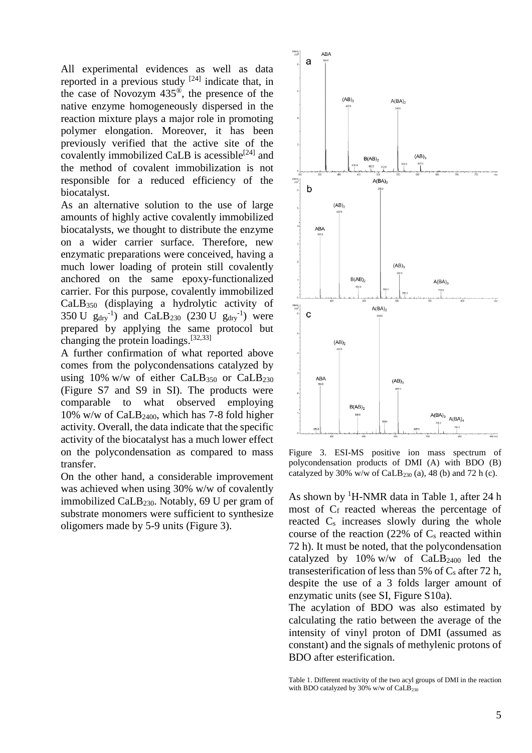All experimental evidences as well as data reported in a previous study  $[24]$  indicate that, in the case of Novozym 435®, the presence of the native enzyme homogeneously dispersed in the reaction mixture plays a major role in promoting polymer elongation. Moreover, it has been previously verified that the active site of the covalently immobilized CaLB is acessible<sup>[24]</sup> and the method of covalent immobilization is not responsible for a reduced efficiency of the biocatalyst.

As an alternative solution to the use of large amounts of highly active covalently immobilized biocatalysts, we thought to distribute the enzyme on a wider carrier surface. Therefore, new enzymatic preparations were conceived, having a much lower loading of protein still covalently anchored on the same epoxy-functionalized carrier. For this purpose, covalently immobilized CaLB<sup>350</sup> (displaying a hydrolytic activity of 350 U  $g_{dry}^{-1}$ ) and CaLB<sub>230</sub> (230 U  $g_{dry}^{-1}$ ) were prepared by applying the same protocol but changing the protein loadings.<sup>[32,33]</sup>

A further confirmation of what reported above comes from the polycondensations catalyzed by using 10% w/w of either CaLB $_{350}$  or CaLB $_{230}$ (Figure S7 and S9 in SI). The products were comparable to what observed employing 10% w/w of CaLB2400, which has 7-8 fold higher activity. Overall, the data indicate that the specific activity of the biocatalyst has a much lower effect on the polycondensation as compared to mass transfer.

On the other hand, a considerable improvement was achieved when using 30% w/w of covalently immobilized CaLB230. Notably, 69 U per gram of substrate monomers were sufficient to synthesize oligomers made by 5-9 units (Figure 3).



Figure 3. ESI-MS positive ion mass spectrum of polycondensation products of DMI (A) with BDO (B) catalyzed by 30% w/w of CaLB<sub>230</sub> (a), 48 (b) and 72 h (c).

As shown by  ${}^{1}$ H-NMR data in Table 1, after 24 h most of C<sub>f</sub> reacted whereas the percentage of reacted  $C_s$  increases slowly during the whole course of the reaction  $(22\% \text{ of } C_s \text{ reacted within})$ 72 h). It must be noted, that the polycondensation catalyzed by 10% w/w of  $CaLB<sub>2400</sub>$  led the transesterification of less than 5% of  $C_s$  after 72 h, despite the use of a 3 folds larger amount of enzymatic units (see SI, Figure S10a).

The acylation of BDO was also estimated by calculating the ratio between the average of the intensity of vinyl proton of DMI (assumed as constant) and the signals of methylenic protons of BDO after esterification.

Table 1. Different reactivity of the two acyl groups of DMI in the reaction with BDO catalyzed by 30% w/w of  $CaLB_{230}$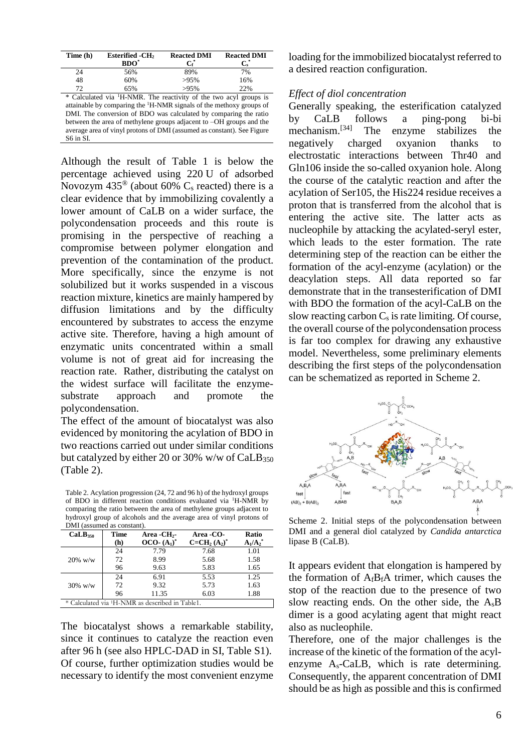| Time (h)                                                                        | <b>Esterified -CH<sub>2</sub></b><br>$BDO^*$ | <b>Reacted DMI</b><br>$\mathrm{C}^*$ | <b>Reacted DMI</b><br>$\mathbf{C}^*$ |  |  |
|---------------------------------------------------------------------------------|----------------------------------------------|--------------------------------------|--------------------------------------|--|--|
| 24                                                                              | 56%                                          | 89%                                  | 7%                                   |  |  |
| 48                                                                              | 60%                                          | >95%                                 | 16%                                  |  |  |
| 72                                                                              | 65%                                          | $>95\%$                              | 22%                                  |  |  |
| * Calculated via <sup>1</sup> H-NMR. The reactivity of the two acyl groups is   |                                              |                                      |                                      |  |  |
| attainable by comparing the <sup>1</sup> H-NMR signals of the methoxy groups of |                                              |                                      |                                      |  |  |
| DMI. The conversion of BDO was calculated by comparing the ratio                |                                              |                                      |                                      |  |  |

between the area of methylene groups adjacent to –OH groups and the average area of vinyl protons of DMI (assumed as constant). See Figure S6 in SI.

Although the result of Table 1 is below the percentage achieved using 220 U of adsorbed Novozym  $435^{\circ}$  (about 60% C<sub>s</sub> reacted) there is a clear evidence that by immobilizing covalently a lower amount of CaLB on a wider surface, the polycondensation proceeds and this route is promising in the perspective of reaching a compromise between polymer elongation and prevention of the contamination of the product. More specifically, since the enzyme is not solubilized but it works suspended in a viscous reaction mixture, kinetics are mainly hampered by diffusion limitations and by the difficulty encountered by substrates to access the enzyme active site. Therefore, having a high amount of enzymatic units concentrated within a small volume is not of great aid for increasing the reaction rate. Rather, distributing the catalyst on the widest surface will facilitate the enzymesubstrate approach and promote the polycondensation.

The effect of the amount of biocatalyst was also evidenced by monitoring the acylation of BDO in two reactions carried out under similar conditions but catalyzed by either 20 or 30% w/w of  $CaLB<sub>350</sub>$ (Table 2).

Table 2. Acylation progression (24, 72 and 96 h) of the hydroxyl groups of BDO in different reaction conditions evaluated via <sup>1</sup>H-NMR by comparing the ratio between the area of methylene groups adjacent to hydroxyl group of alcohols and the average area of vinyl protons of DMI (assumed as constant).

| DIVII (assumed as constant).                                |             |                         |              |                        |
|-------------------------------------------------------------|-------------|-------------------------|--------------|------------------------|
| CaLB <sub>350</sub>                                         | <b>Time</b> | Area -CH <sub>2</sub> - | Area -CO-    | Ratio                  |
|                                                             | (h)         | $OCO-(A_1)^*$           | $C=CH2(A2)*$ | $A_1/A_2$ <sup>*</sup> |
|                                                             | 24          | 7.79                    | 7.68         | 1.01                   |
| $20\%$ w/w                                                  | 72          | 8.99                    | 5.68         | 1.58                   |
|                                                             | 96          | 9.63                    | 5.83         | 1.65                   |
|                                                             | 24          | 6.91                    | 5.53         | 1.25                   |
| $30\%$ w/w                                                  | 72          | 9.32                    | 5.73         | 1.63                   |
|                                                             | 96          | 11.35                   | 6.03         | 1.88                   |
| * Calculated via <sup>1</sup> H-NMR as described in Table1. |             |                         |              |                        |

The biocatalyst shows a remarkable stability, since it continues to catalyze the reaction even after 96 h (see also HPLC-DAD in SI, Table S1). Of course, further optimization studies would be necessary to identify the most convenient enzyme loading for the immobilized biocatalyst referred to a desired reaction configuration.

### *Effect of diol concentration*

Generally speaking, the esterification catalyzed by CaLB follows a ping-pong bi-bi mechanism.[34] The enzyme stabilizes the negatively charged oxyanion thanks to electrostatic interactions between Thr40 and Gln106 inside the so-called oxyanion hole. Along the course of the catalytic reaction and after the acylation of Ser105, the His224 residue receives a proton that is transferred from the alcohol that is entering the active site. The latter acts as nucleophile by attacking the acylated-seryl ester, which leads to the ester formation. The rate determining step of the reaction can be either the formation of the acyl-enzyme (acylation) or the deacylation steps. All data reported so far demonstrate that in the transesterification of DMI with BDO the formation of the acyl-CaLB on the slow reacting carbon  $C_s$  is rate limiting. Of course, the overall course of the polycondensation process is far too complex for drawing any exhaustive model. Nevertheless, some preliminary elements describing the first steps of the polycondensation can be schematized as reported in Scheme 2.



Scheme 2. Initial steps of the polycondensation between DMI and a general diol catalyzed by *Candida antarctica* lipase B (CaLB).

It appears evident that elongation is hampered by the formation of  $A_f B_f A$  trimer, which causes the stop of the reaction due to the presence of two slow reacting ends. On the other side, the AsB dimer is a good acylating agent that might react also as nucleophile.

Therefore, one of the major challenges is the increase of the kinetic of the formation of the acylenzyme  $A_s$ -CaLB, which is rate determining. Consequently, the apparent concentration of DMI should be as high as possible and this is confirmed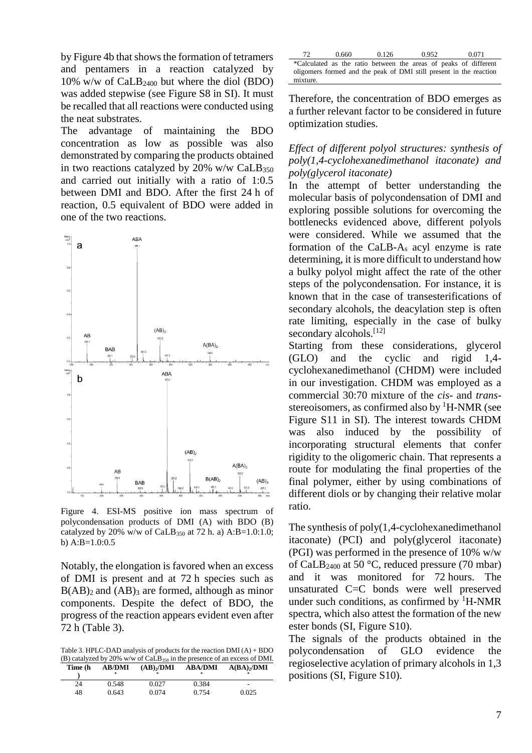by Figure 4b that shows the formation of tetramers and pentamers in a reaction catalyzed by 10% w/w of CaLB<sup>2400</sup> but where the diol (BDO) was added stepwise (see Figure S8 in SI). It must be recalled that all reactions were conducted using the neat substrates.

The advantage of maintaining the BDO concentration as low as possible was also demonstrated by comparing the products obtained in two reactions catalyzed by  $20\%$  w/w CaLB<sub>350</sub> and carried out initially with a ratio of 1:0.5 between DMI and BDO. After the first 24 h of reaction, 0.5 equivalent of BDO were added in one of the two reactions.



Figure 4. ESI-MS positive ion mass spectrum of polycondensation products of DMI (A) with BDO (B) catalyzed by 20% w/w of CaLB<sub>350</sub> at 72 h. a) A:B=1.0:1.0; b) A:B=1.0:0.5

Notably, the elongation is favored when an excess of DMI is present and at 72 h species such as  $B(AB)_2$  and  $(AB)_3$  are formed, although as minor components. Despite the defect of BDO, the progress of the reaction appears evident even after 72 h (Table 3).

Table 3. HPLC-DAD analysis of products for the reaction DMI (A) + BDO (B) catalyzed by 20% w/w of CaLB<sup>350</sup> in the presence of an excess of DMI. **Time (h AB/DMI (AB)2/DMI ABA/DMI A(BA)2/DMI**

| .  | 111111111<br>* | (1117)<br>* | **********<br>* | $\mathbf{M}$<br>宗        |
|----|----------------|-------------|-----------------|--------------------------|
| 24 | 0.548          | 0.027       | 0.384           | $\overline{\phantom{a}}$ |
| 48 | 0.643          | 0.074       | 0.754           | 0.025                    |

| 72.      | 0.660 | 0.126 | 0.952                                                              | 0.071 |
|----------|-------|-------|--------------------------------------------------------------------|-------|
|          |       |       | *Calculated as the ratio between the areas of peaks of different   |       |
|          |       |       | oligomers formed and the peak of DMI still present in the reaction |       |
| mixture. |       |       |                                                                    |       |

Therefore, the concentration of BDO emerges as a further relevant factor to be considered in future optimization studies.

### *Effect of different polyol structures: synthesis of poly(1,4-cyclohexanedimethanol itaconate) and poly(glycerol itaconate)*

In the attempt of better understanding the molecular basis of polycondensation of DMI and exploring possible solutions for overcoming the bottlenecks evidenced above, different polyols were considered. While we assumed that the formation of the CaLB-A<sup>s</sup> acyl enzyme is rate determining, it is more difficult to understand how a bulky polyol might affect the rate of the other steps of the polycondensation. For instance, it is known that in the case of transesterifications of secondary alcohols, the deacylation step is often rate limiting, especially in the case of bulky secondary alcohols.<sup>[12]</sup>

Starting from these considerations, glycerol (GLO) and the cyclic and rigid 1,4 cyclohexanedimethanol (CHDM) were included in our investigation. CHDM was employed as a commercial 30:70 mixture of the *cis*- and *trans*stereoisomers, as confirmed also by  ${}^{1}$ H-NMR (see Figure S11 in SI). The interest towards CHDM was also induced by the possibility of incorporating structural elements that confer rigidity to the oligomeric chain. That represents a route for modulating the final properties of the final polymer, either by using combinations of different diols or by changing their relative molar ratio.

The synthesis of poly(1,4-cyclohexanedimethanol itaconate) (PCI) and poly(glycerol itaconate) (PGI) was performed in the presence of 10% w/w of CaLB<sub>2400</sub> at 50 °C, reduced pressure (70 mbar) and it was monitored for 72 hours. The unsaturated C=C bonds were well preserved under such conditions, as confirmed by  ${}^{1}$ H-NMR spectra, which also attest the formation of the new ester bonds (SI, Figure S10).

The signals of the products obtained in the polycondensation of GLO evidence the regioselective acylation of primary alcohols in 1,3 positions (SI, Figure S10).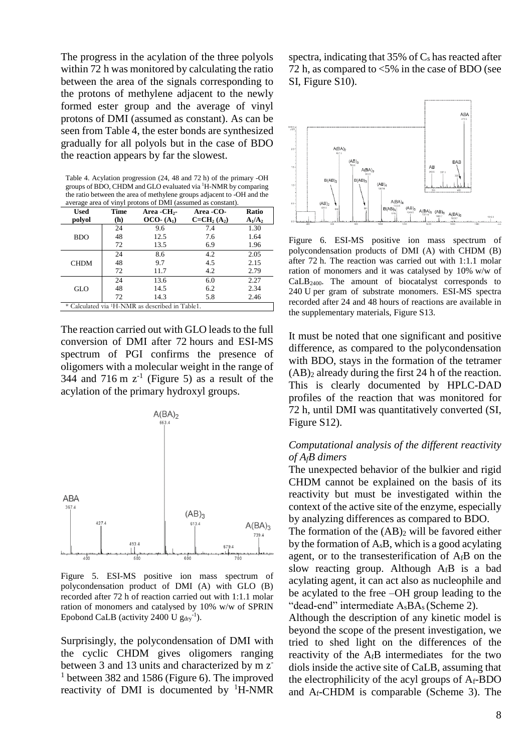The progress in the acylation of the three polyols within 72 h was monitored by calculating the ratio between the area of the signals corresponding to the protons of methylene adjacent to the newly formed ester group and the average of vinyl protons of DMI (assumed as constant). As can be seen from Table 4, the ester bonds are synthesized gradually for all polyols but in the case of BDO the reaction appears by far the slowest.

Table 4. Acylation progression (24, 48 and 72 h) of the primary -OH groups of BDO, CHDM and GLO evaluated via <sup>1</sup>H-NMR by comparing the ratio between the area of methylene groups adjacent to -OH and the average area of vinyl protons of DMI (assumed as constant).

| <b>Used</b>                                                 | <b>Time</b> | Area -CH <sub>2</sub> - | Area -CO-   | Ratio     |
|-------------------------------------------------------------|-------------|-------------------------|-------------|-----------|
| polyol                                                      | (h)         | $OCO-(A_1)$             | $C=CH2(A2)$ | $A_1/A_2$ |
|                                                             | 24          | 9.6                     | 7.4         | 1.30      |
| <b>BDO</b>                                                  | 48          | 12.5                    | 7.6         | 1.64      |
|                                                             | 72          | 13.5                    | 6.9         | 1.96      |
|                                                             | 24          | 8.6                     | 4.2         | 2.05      |
| <b>CHDM</b>                                                 | 48          | 9.7                     | 4.5         | 2.15      |
|                                                             | 72          | 11.7                    | 4.2         | 2.79      |
|                                                             | 24          | 13.6                    | 6.0         | 2.27      |
| GLO                                                         | 48          | 14.5                    | 6.2         | 2.34      |
|                                                             | 72          | 14.3                    | 5.8         | 2.46      |
| * Calculated via <sup>1</sup> H-NMR as described in Table1. |             |                         |             |           |

The reaction carried out with GLO leads to the full conversion of DMI after 72 hours and ESI-MS spectrum of PGI confirms the presence of oligomers with a molecular weight in the range of 344 and 716 m  $z^{-1}$  (Figure 5) as a result of the acylation of the primary hydroxyl groups.



Figure 5. ESI-MS positive ion mass spectrum of polycondensation product of DMI (A) with GLO (B) recorded after 72 h of reaction carried out with 1:1.1 molar ration of monomers and catalysed by 10% w/w of SPRIN Epobond CaLB (activity 2400 U  $g_{\text{dry}}^{-1}$ ).

Surprisingly, the polycondensation of DMI with the cyclic CHDM gives oligomers ranging between 3 and 13 units and characterized by m z<sup>-</sup> <sup>1</sup> between 382 and 1586 (Figure 6). The improved reactivity of DMI is documented by  ${}^{1}$ H-NMR

spectra, indicating that  $35\%$  of  $C_s$  has reacted after 72 h, as compared to <5% in the case of BDO (see SI, Figure S10).



Figure 6. ESI-MS positive ion mass spectrum of polycondensation products of DMI (A) with CHDM (B) after 72 h. The reaction was carried out with 1:1.1 molar ration of monomers and it was catalysed by 10% w/w of  $CaLB<sub>2400</sub>$ . The amount of biocatalyst corresponds to 240 U per gram of substrate monomers. ESI-MS spectra recorded after 24 and 48 hours of reactions are available in the supplementary materials, Figure S13.

It must be noted that one significant and positive difference, as compared to the polycondensation with BDO, stays in the formation of the tetramer  $(AB)_2$  already during the first 24 h of the reaction. This is clearly documented by HPLC-DAD profiles of the reaction that was monitored for 72 h, until DMI was quantitatively converted (SI, Figure S12).

### *Computational analysis of the different reactivity of AfB dimers*

The unexpected behavior of the bulkier and rigid CHDM cannot be explained on the basis of its reactivity but must be investigated within the context of the active site of the enzyme, especially by analyzing differences as compared to BDO.

The formation of the  $(AB)_2$  will be favored either by the formation of  $A<sub>s</sub>B$ , which is a good acylating agent, or to the transesterification of  $A_fB$  on the slow reacting group. Although  $A_fB$  is a bad acylating agent, it can act also as nucleophile and be acylated to the free –OH group leading to the "dead-end" intermediate  $A<sub>s</sub>BA<sub>s</sub>$  (Scheme 2).

Although the description of any kinetic model is beyond the scope of the present investigation, we tried to shed light on the differences of the reactivity of the  $A_fB$  intermediates for the two diols inside the active site of CaLB, assuming that the electrophilicity of the acyl groups of  $A_f$ -BDO and Af-CHDM is comparable (Scheme 3). The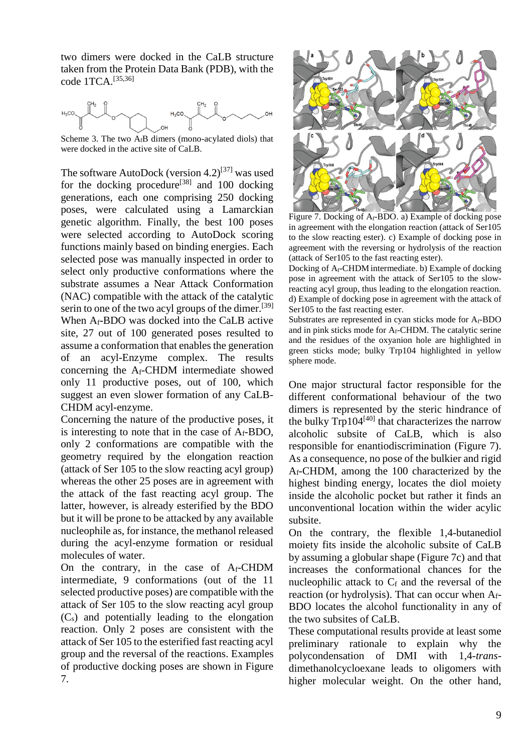two dimers were docked in the CaLB structure taken from the Protein Data Bank (PDB), with the code 1TCA. [35,36]



Scheme 3. The two  $A_fB$  dimers (mono-acylated diols) that were docked in the active site of CaLB.

The software AutoDock (version  $4.2$ )<sup>[37]</sup> was used for the docking procedure<sup>[38]</sup> and 100 docking generations, each one comprising 250 docking poses, were calculated using a Lamarckian genetic algorithm. Finally, the best 100 poses were selected according to AutoDock scoring functions mainly based on binding energies. Each selected pose was manually inspected in order to select only productive conformations where the substrate assumes a Near Attack Conformation (NAC) compatible with the attack of the catalytic serin to one of the two acyl groups of the dimer.<sup>[39]</sup> When Af-BDO was docked into the CaLB active site, 27 out of 100 generated poses resulted to assume a conformation that enables the generation of an acyl-Enzyme complex. The results concerning the Af-CHDM intermediate showed only 11 productive poses, out of 100, which suggest an even slower formation of any CaLB-CHDM acyl-enzyme.

Concerning the nature of the productive poses, it is interesting to note that in the case of Af-BDO, only 2 conformations are compatible with the geometry required by the elongation reaction (attack of Ser 105 to the slow reacting acyl group) whereas the other 25 poses are in agreement with the attack of the fast reacting acyl group. The latter, however, is already esterified by the BDO but it will be prone to be attacked by any available nucleophile as, for instance, the methanol released during the acyl-enzyme formation or residual molecules of water.

On the contrary, in the case of Af-CHDM intermediate, 9 conformations (out of the 11 selected productive poses) are compatible with the attack of Ser 105 to the slow reacting acyl group  $(C_s)$  and potentially leading to the elongation reaction. Only 2 poses are consistent with the attack of Ser 105 to the esterified fast reacting acyl group and the reversal of the reactions. Examples of productive docking poses are shown in Figure 7.



Figure 7. Docking of  $A_f$ -BDO. a) Example of docking pose in agreement with the elongation reaction (attack of Ser105 to the slow reacting ester). c) Example of docking pose in agreement with the reversing or hydrolysis of the reaction (attack of Ser105 to the fast reacting ester).

Docking of Af-CHDM intermediate. b) Example of docking pose in agreement with the attack of Ser105 to the slowreacting acyl group, thus leading to the elongation reaction. d) Example of docking pose in agreement with the attack of Ser105 to the fast reacting ester.

Substrates are represented in cyan sticks mode for Af-BDO and in pink sticks mode for Af-CHDM. The catalytic serine and the residues of the oxyanion hole are highlighted in green sticks mode; bulky Trp104 highlighted in yellow sphere mode.

One major structural factor responsible for the different conformational behaviour of the two dimers is represented by the steric hindrance of the bulky  $Trp104^{[40]}$  that characterizes the narrow alcoholic subsite of CaLB, which is also responsible for enantiodiscrimination (Figure 7). As a consequence, no pose of the bulkier and rigid Af-CHDM, among the 100 characterized by the highest binding energy, locates the diol moiety inside the alcoholic pocket but rather it finds an unconventional location within the wider acylic subsite.

On the contrary, the flexible 1,4-butanediol moiety fits inside the alcoholic subsite of CaLB by assuming a globular shape (Figure 7c) and that increases the conformational chances for the nucleophilic attack to  $C_f$  and the reversal of the reaction (or hydrolysis). That can occur when  $A_f$ -BDO locates the alcohol functionality in any of the two subsites of CaLB.

These computational results provide at least some preliminary rationale to explain why the polycondensation of DMI with 1,4*-trans*dimethanolcycloexane leads to oligomers with higher molecular weight. On the other hand,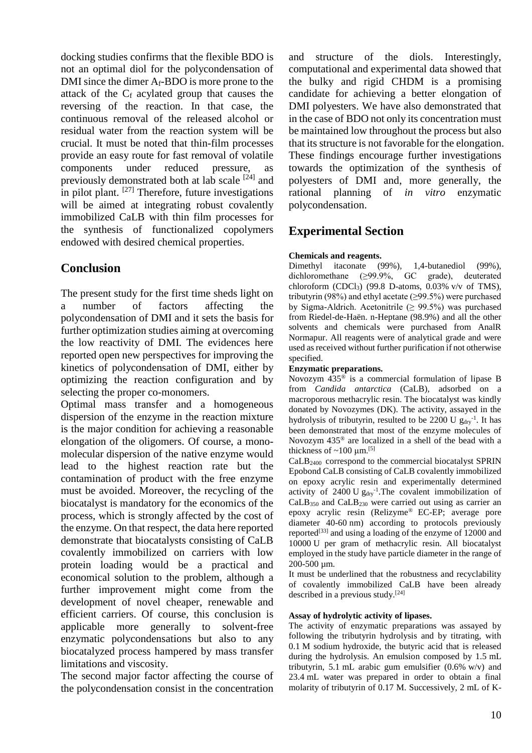docking studies confirms that the flexible BDO is not an optimal diol for the polycondensation of DMI since the dimer Af-BDO is more prone to the attack of the  $C_f$  acylated group that causes the reversing of the reaction. In that case, the continuous removal of the released alcohol or residual water from the reaction system will be crucial. It must be noted that thin-film processes provide an easy route for fast removal of volatile components under reduced pressure, as previously demonstrated both at lab scale  $[24]$  and in pilot plant. <sup>[27]</sup> Therefore, future investigations will be aimed at integrating robust covalently immobilized CaLB with thin film processes for the synthesis of functionalized copolymers endowed with desired chemical properties.

# **Conclusion**

The present study for the first time sheds light on a number of factors affecting the polycondensation of DMI and it sets the basis for further optimization studies aiming at overcoming the low reactivity of DMI. The evidences here reported open new perspectives for improving the kinetics of polycondensation of DMI, either by optimizing the reaction configuration and by selecting the proper co-monomers.

Optimal mass transfer and a homogeneous dispersion of the enzyme in the reaction mixture is the major condition for achieving a reasonable elongation of the oligomers. Of course, a monomolecular dispersion of the native enzyme would lead to the highest reaction rate but the contamination of product with the free enzyme must be avoided. Moreover, the recycling of the biocatalyst is mandatory for the economics of the process, which is strongly affected by the cost of the enzyme. On that respect, the data here reported demonstrate that biocatalysts consisting of CaLB covalently immobilized on carriers with low protein loading would be a practical and economical solution to the problem, although a further improvement might come from the development of novel cheaper, renewable and efficient carriers. Of course, this conclusion is applicable more generally to solvent-free enzymatic polycondensations but also to any biocatalyzed process hampered by mass transfer limitations and viscosity.

The second major factor affecting the course of the polycondensation consist in the concentration

and structure of the diols. Interestingly, computational and experimental data showed that the bulky and rigid CHDM is a promising candidate for achieving a better elongation of DMI polyesters. We have also demonstrated that in the case of BDO not only its concentration must be maintained low throughout the process but also that its structure is not favorable for the elongation. These findings encourage further investigations towards the optimization of the synthesis of polyesters of DMI and, more generally, the rational planning of *in vitro* enzymatic polycondensation.

# **Experimental Section**

### **Chemicals and reagents.**

Dimethyl itaconate (99%), 1,4-butanediol (99%), dichloromethane (≥99.9%, GC grade), deuterated chloroform  $(CDCl<sub>3</sub>)$  (99.8 D-atoms, 0.03% v/v of TMS), tributyrin (98%) and ethyl acetate  $(\geq 99.5\%)$  were purchased by Sigma-Aldrich. Acetonitrile ( $\geq 99.5\%$ ) was purchased from Riedel-de-Haën. n-Heptane (98.9%) and all the other solvents and chemicals were purchased from AnalR Normapur. All reagents were of analytical grade and were used as received without further purification if not otherwise specified.

### **Enzymatic preparations.**

Novozym  $435^{\circ}$  is a commercial formulation of lipase B from *Candida antarctica* (CaLB)*,* adsorbed on a macroporous methacrylic resin. The biocatalyst was kindly donated by Novozymes (DK). The activity, assayed in the hydrolysis of tributyrin, resulted to be 2200 U  $g_{\text{dry}}^{-1}$ . It has been demonstrated that most of the enzyme molecules of Novozym 435® are localized in a shell of the bead with a thickness of  $\sim$ 100  $\mu$ m.<sup>[5]</sup>

CaLB2400 correspond to the commercial biocatalyst SPRIN Epobond CaLB consisting of CaLB covalently immobilized on epoxy acrylic resin and experimentally determined activity of  $2400 \text{ U} g_{\text{dry}}^{-1}$ . The covalent immobilization of CaLB<sup>350</sup> and CaLB<sup>230</sup> were carried out using as carrier an epoxy acrylic resin (Relizyme*®* EC-EP; average pore diameter 40-60 nm) according to protocols previously reported $^{[33]}$  and using a loading of the enzyme of 12000 and 10000 U per gram of methacrylic resin. All biocatalyst employed in the study have particle diameter in the range of 200-500 um.

It must be underlined that the robustness and recyclability of covalently immobilized CaLB have been already described in a previous study.[24]

### **Assay of hydrolytic activity of lipases.**

The activity of enzymatic preparations was assayed by following the tributyrin hydrolysis and by titrating, with 0.1 M sodium hydroxide, the butyric acid that is released during the hydrolysis. An emulsion composed by 1.5 mL tributyrin, 5.1 mL arabic gum emulsifier  $(0.6\% \text{ w/v})$  and 23.4 mL water was prepared in order to obtain a final molarity of tributyrin of 0.17 M. Successively, 2 mL of K-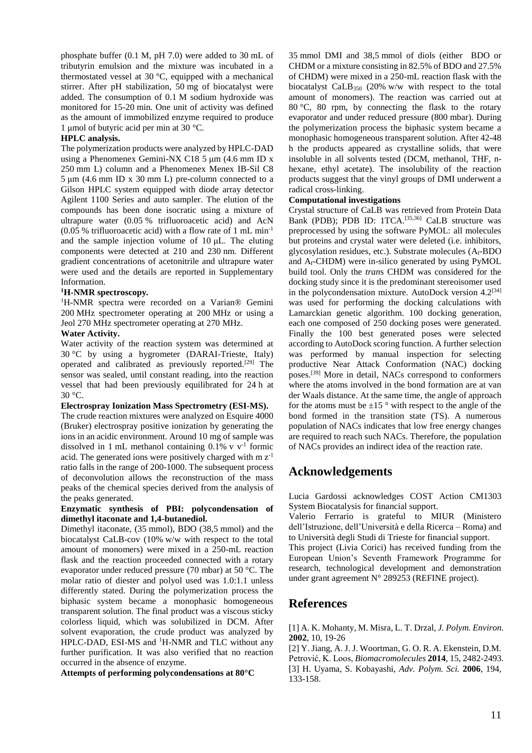phosphate buffer (0.1 M, pH 7.0) were added to 30 mL of tributyrin emulsion and the mixture was incubated in a thermostated vessel at 30 °C, equipped with a mechanical stirrer. After pH stabilization, 50 mg of biocatalyst were added. The consumption of 0.1 M sodium hydroxide was monitored for 15-20 min. One unit of activity was defined as the amount of immobilized enzyme required to produce 1 μmol of butyric acid per min at 30 °C.

#### **HPLC analysis.**

The polymerization products were analyzed by HPLC-DAD using a Phenomenex Gemini-NX C18 5 μm (4.6 mm ID x 250 mm L) column and a Phenomenex Menex IB-Sil C8 5 μm (4.6 mm ID x 30 mm L) pre-column connected to a Gilson HPLC system equipped with diode array detector Agilent 1100 Series and auto sampler. The elution of the compounds has been done isocratic using a mixture of ultrapure water (0.05 % trifluoroacetic acid) and AcN (0.05 % trifluoroacetic acid) with a flow rate of 1 mL min-1 and the sample injection volume of 10 μL. The eluting components were detected at 210 and 230 nm. Different gradient concentrations of acetonitrile and ultrapure water were used and the details are reported in Supplementary Information.

#### **<sup>1</sup>H-NMR spectroscopy***.*

<sup>1</sup>H-NMR spectra were recorded on a Varian<sup>®</sup> Gemini 200 MHz spectrometer operating at 200 MHz or using a Jeol 270 MHz spectrometer operating at 270 MHz.

#### **Water Activity.**

Water activity of the reaction system was determined at 30 °C by using a hygrometer (DARAI-Trieste, Italy) operated and calibrated as previously reported.[29] The sensor was sealed, until constant reading, into the reaction vessel that had been previously equilibrated for 24 h at 30 °C.

#### **Electrospray Ionization Mass Spectrometry (ESI-MS).**

The crude reaction mixtures were analyzed on Esquire 4000 (Bruker) electrospray positive ionization by generating the ions in an acidic environment. Around 10 mg of sample was dissolved in 1 mL methanol containing  $0.1\%$  v v<sup>-1</sup> formic acid. The generated ions were positively charged with  $m z^{-1}$ ratio falls in the range of 200-1000. The subsequent process of deconvolution allows the reconstruction of the mass peaks of the chemical species derived from the analysis of the peaks generated.

#### **Enzymatic synthesis of PBI: polycondensation of dimethyl itaconate and 1,4-butanediol.**

Dimethyl itaconate, (35 mmol), BDO (38,5 mmol) and the biocatalyst CaLB-cov (10% w/w with respect to the total amount of monomers) were mixed in a 250-mL reaction flask and the reaction proceeded connected with a rotary evaporator under reduced pressure (70 mbar) at 50 °C. The molar ratio of diester and polyol used was 1.0:1.1 unless differently stated. During the polymerization process the biphasic system became a monophasic homogeneous transparent solution. The final product was a viscous sticky colorless liquid, which was solubilized in DCM. After solvent evaporation, the crude product was analyzed by HPLC-DAD, ESI-MS and <sup>1</sup>H-NMR and TLC without any further purification. It was also verified that no reaction occurred in the absence of enzyme.

**Attempts of performing polycondensations at 80°C**

35 mmol DMI and 38,5 mmol of diols (either BDO or CHDM or a mixture consisting in 82.5% of BDO and 27.5% of CHDM) were mixed in a 250-mL reaction flask with the biocatalyst CaLB<sub>350</sub> (20% w/w with respect to the total amount of monomers). The reaction was carried out at 80 °C, 80 rpm, by connecting the flask to the rotary evaporator and under reduced pressure (800 mbar). During the polymerization process the biphasic system became a monophasic homogeneous transparent solution. After 42-48 h the products appeared as crystalline solids, that were insoluble in all solvents tested (DCM, methanol, THF, nhexane, ethyl acetate). The insolubility of the reaction products suggest that the vinyl groups of DMI underwent a radical cross-linking.

#### **Computational investigations**

Crystal structure of CaLB was retrieved from Protein Data Bank (PDB); PDB ID: 1TCA.<sup>[35,36]</sup> CaLB structure was preprocessed by using the software PyMOL: all molecules but proteins and crystal water were deleted (i.e. inhibitors, glycosylation residues, etc.). Substrate molecules (Af-BDO and Af-CHDM) were in-silico generated by using PyMOL build tool. Only the *tran*s CHDM was considered for the docking study since it is the predominant stereoisomer used in the polycondensation mixture. AutoDock version 4.2<sup>[34]</sup> was used for performing the docking calculations with Lamarckian genetic algorithm. 100 docking generation, each one composed of 250 docking poses were generated. Finally the 100 best generated poses were selected according to AutoDock scoring function. A further selection was performed by manual inspection for selecting productive Near Attack Conformation (NAC) docking poses.[39] More in detail, NACs correspond to conformers where the atoms involved in the bond formation are at van der Waals distance. At the same time, the angle of approach for the atoms must be  $\pm 15$  ° with respect to the angle of the bond formed in the transition state (TS). A numerous population of NACs indicates that low free energy changes are required to reach such NACs. Therefore, the population of NACs provides an indirect idea of the reaction rate.

# **Acknowledgements**

Lucia Gardossi acknowledges COST Action CM1303 System Biocatalysis for financial support.

Valerio Ferrario is grateful to MIUR (Ministero dell'Istruzione, dell'Università e della Ricerca – Roma) and to Università degli Studi di Trieste for financial support. This project (Livia Corici) has received funding from the European Union's Seventh Framework Programme for research, technological development and demonstration under grant agreement N° 289253 (REFINE project).

# **References**

[1] A. K. Mohanty, M. Misra, L. T. Drzal, *J. Polym. Environ*. **2002**, 10, 19-26

[2] Y. Jiang, A. J. J. Woortman, G. O. R. A. Ekenstein, D.M. Petrović, K. Loos, *Biomacromolecules* **2014**, 15, 2482-2493. [3] H. Uyama, S. Kobayashi, *Adv. Polym. Sci.* **2006**, 194, 133-158.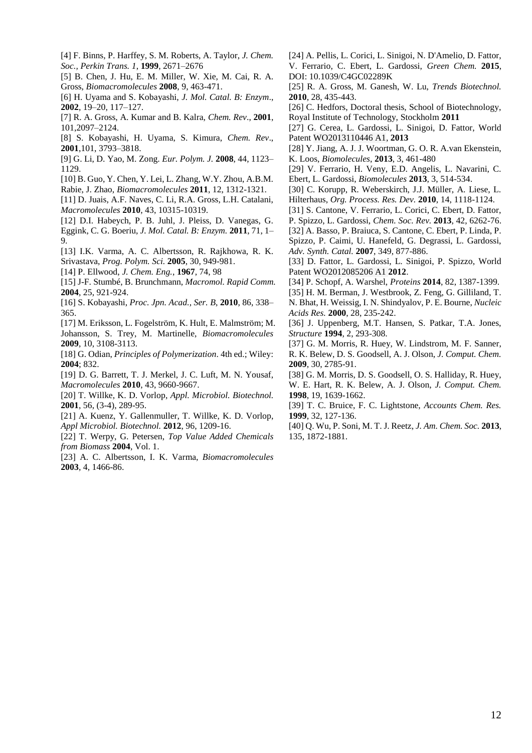- [4] F. Binns, P. Harffey, S. M. Roberts, A. Taylor, *J. Chem. Soc., Perkin Trans. 1*, **1999**, 2671–2676
- [5] B. Chen, J. Hu, E. M. Miller, W. Xie, M. Cai, R. A. Gross, *Biomacromolecules* **2008**, 9, 463-471.
- [6] H. Uyama and S. Kobayashi, *J. Mol. Catal. B: Enzym*., **2002**, 19–20, 117–127.
- [7] R. A. Gross, A. Kumar and B. Kalra, *Chem. Rev*., **2001**, 101,2097–2124.
- [8] S. Kobayashi, H. Uyama, S. Kimura, *Chem. Rev*., **2001**,101, 3793–3818.
- [9] G. Li, D. Yao, M. Zong. *Eur. Polym. J.* **2008**, 44, 1123– 1129.
- [10] B. Guo, Y. Chen, Y. Lei, L. Zhang, W.Y. Zhou, A.B.M.
- Rabie, J. Zhao, *Biomacromolecules* **2011**, 12, 1312-1321.
- [11] D. Juais, A.F. Naves, C. Li, R.A. Gross, L.H. Catalani, *Macromolecules* **2010**, 43, 10315-10319.
- [12] D.I. Habeych, P. B. Juhl, J. Pleiss, D. Vanegas, G.
- Eggink, C. G. Boeriu, *J. Mol. Catal. B: Enzym.* **2011**, 71, 1– 9.
- [13] I.K. Varma, A. C. Albertsson, R. Rajkhowa, R. K. Srivastava, *Prog. Polym. Sci.* **2005**, 30, 949-981.
- [14] P. Ellwood, *J. Chem. Eng.*, **1967**, 74, 98
- [15] J-F. Stumbé, B. Brunchmann, *Macromol. Rapid Comm.*  **2004**, 25, 921-924.
- [16] S. Kobayashi, *Proc. Jpn. Acad., Ser. B*, **2010**, 86, 338– 365.
- [17] M. Eriksson, L. Fogelström, K. Hult, E. Malmström; M. Johansson, S. Trey, M. Martinelle, *Biomacromolecules*  **2009**, 10, 3108-3113.
- [18] G. Odian, *Principles of Polymerization*. 4th ed.; Wiley: **2004**; 832.
- [19] D. G. Barrett, T. J. Merkel, J. C. Luft, M. N. Yousaf, *Macromolecules* **2010**, 43, 9660-9667.
- [20] T. Willke, K. D. Vorlop, *Appl. Microbiol. Biotechnol.*  **2001**, 56, (3-4), 289-95.
- [21] A. Kuenz, Y. Gallenmuller, T. Willke, K. D. Vorlop, *Appl Microbiol. Biotechnol.* **2012**, 96, 1209-16.
- [22] T. Werpy, G. Petersen, *Top Value Added Chemicals from Biomass* **2004**, Vol. 1.
- [23] A. C. Albertsson, I. K. Varma, *Biomacromolecules*  **2003**, 4, 1466-86.
- [24] A. Pellis, L. Corici, L. Sinigoi, N. D'Amelio, D. Fattor, V. Ferrario, C. Ebert, L. Gardossi, *Green Chem.* **2015**, DOI: 10.1039/C4GC02289K
- [25] R. A. Gross, M. Ganesh, W. Lu, *Trends Biotechnol.*  **2010**, 28, 435-443.
- [26] C. Hedfors, Doctoral thesis, School of Biotechnology, Royal Institute of Technology, Stockholm **2011**
- [27] G. Cerea, L. Gardossi, L. Sinigoi, D. Fattor, World Patent WO2013110446 A1, **2013**
- [28] Y. Jiang, A. J. J. Woortman, G. O. R. A.van Ekenstein, K. Loos, *Biomolecules*, **2013**, 3, 461-480
- [29] V. Ferrario, H. Veny, E.D. Angelis, L. Navarini, C. Ebert, L. Gardossi, *Biomolecules* **2013**, 3, 514-534.
- [30] C. Korupp, R. Weberskirch, J.J. Müller, A. Liese, L. Hilterhaus, *Org. Process. Res. Dev.* **2010**, 14, 1118-1124.
- [31] S. Cantone, V. Ferrario, L. Corici, C. Ebert, D. Fattor,
- P. Spizzo, L. Gardossi, *Chem. Soc. Rev.* **2013**, 42, 6262-76.
- [32] A. Basso, P. Braiuca, S. Cantone, C. Ebert, P. Linda, P. Spizzo, P. Caimi, U. Hanefeld, G. Degrassi, L. Gardossi, *Adv. Synth. Catal.* **2007**, 349, 877-886.
- [33] D. Fattor, L. Gardossi, L. Sinigoi, P. Spizzo, World Patent WO2012085206 A1 **2012**.
- [34] P. Schopf, A. Warshel, *Proteins* **2014**, 82, 1387-1399.
- [35] H. M. Berman, J. Westbrook, Z. Feng, G. Gilliland, T. N. Bhat, H. Weissig, I. N. Shindyalov, P. E. Bourne, *Nucleic Acids Res.* **2000**, 28, 235-242.
- [36] J. Uppenberg, M.T. Hansen, S. Patkar, T.A. Jones, *Structure* **1994**, 2, 293-308.
- [37] G. M. Morris, R. Huey, W. Lindstrom, M. F. Sanner, R. K. Belew, D. S. Goodsell, A. J. Olson, *J. Comput. Chem.*  **2009**, 30, 2785-91.
- [38] G. M. Morris, D. S. Goodsell, O. S. Halliday, R. Huey, W. E. Hart, R. K. Belew, A. J. Olson, *J. Comput. Chem.*  **1998**, 19, 1639-1662.
- [39] T. C. Bruice, F. C. Lightstone, *Accounts Chem. Res.*  **1999**, 32, 127-136.
- [40] Q. Wu, P. Soni, M. T. J. Reetz, *J. Am. Chem. Soc.* **2013**, 135, 1872-1881.